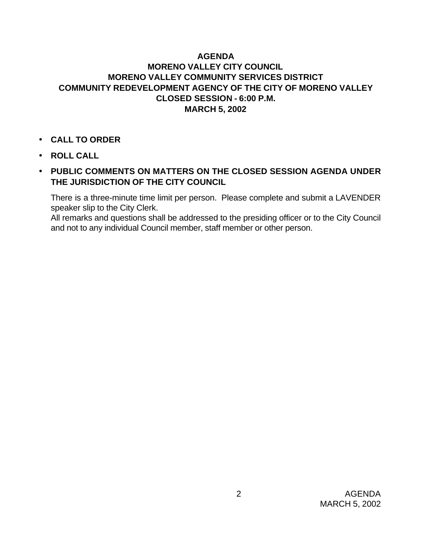## **AGENDA MORENO VALLEY CITY COUNCIL MORENO VALLEY COMMUNITY SERVICES DISTRICT COMMUNITY REDEVELOPMENT AGENCY OF THE CITY OF MORENO VALLEY CLOSED SESSION - 6:00 P.M. MARCH 5, 2002**

- **CALL TO ORDER**
- **ROLL CALL**
- **PUBLIC COMMENTS ON MATTERS ON THE CLOSED SESSION AGENDA UNDER THE JURISDICTION OF THE CITY COUNCIL**

There is a three-minute time limit per person. Please complete and submit a LAVENDER speaker slip to the City Clerk.

All remarks and questions shall be addressed to the presiding officer or to the City Council and not to any individual Council member, staff member or other person.